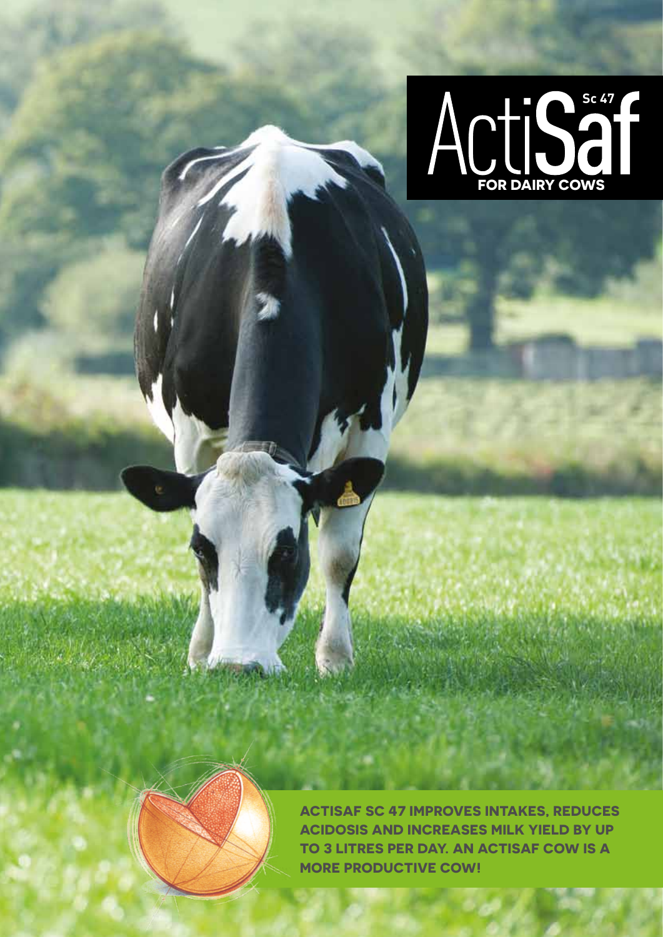



**Actisaf Sc 47 improves intakeS, reduces acidosis and increases milk yield by up TO 3 litres per day. An Actisaf cow is a more productive cow!**